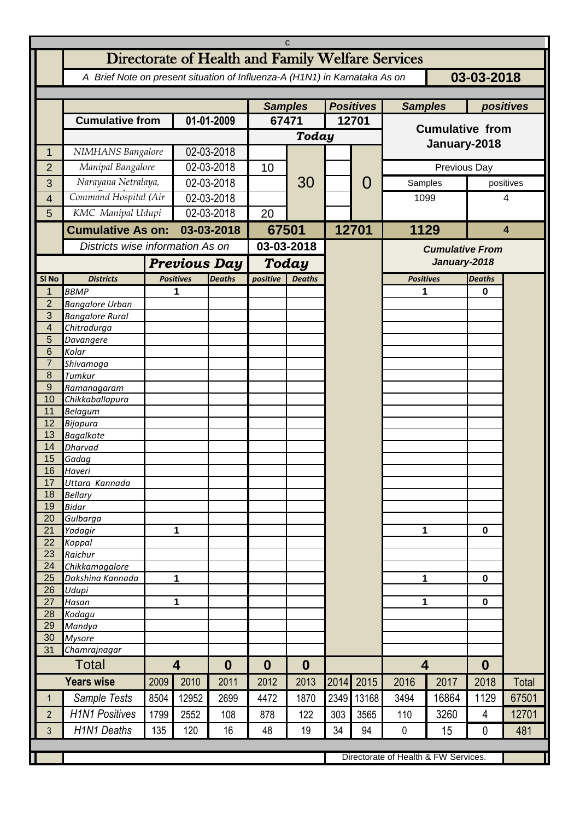| Directorate of Health and Family Welfare Services<br>03-03-2018<br>A Brief Note on present situation of Influenza-A (H1N1) in Karnataka As on<br><b>Samples</b><br><b>Positives</b><br><b>Samples</b><br>positives<br><b>Cumulative from</b><br>01-01-2009<br>67471<br>12701<br><b>Cumulative from</b><br><b>Today</b><br>January-2018<br>02-03-2018<br>NIMHANS Bangalore<br>1<br>02-03-2018<br>Manipal Bangalore<br>Previous Day<br>$\overline{2}$<br>10<br>Narayana Netralaya,<br>30<br>02-03-2018<br>0<br>Samples<br>3<br>positives<br>Command Hospital (Air<br>02-03-2018<br>1099<br>$\overline{4}$<br>4<br>02-03-2018<br>KMC Manipal Udupi<br>5<br>20<br><b>Cumulative As on:</b><br>12701<br>1129<br>03-03-2018<br>67501<br>$\overline{\mathbf{4}}$<br>Districts wise information As on<br>03-03-2018<br><b>Cumulative From</b><br>January-2018<br><b>Previous Day</b><br><b>Today</b><br>SI <sub>No</sub><br><b>Districts</b><br><b>Positives</b><br><b>Deaths</b><br>positive<br><b>Positives</b><br><b>Deaths</b><br><b>Deaths</b><br><b>BBMP</b><br>1<br>$\mathbf 1$<br>1<br>0<br>$\overline{2}$<br><b>Bangalore Urban</b><br>3<br><b>Bangalore Rural</b><br>$\overline{4}$<br>Chitradurga<br>5<br>Davangere<br>6<br>Kolar<br>$\overline{7}$<br>Shivamoga<br>8<br>Tumkur<br>9<br>Ramanagaram<br>10<br>Chikkaballapura<br>11<br><b>Belagum</b><br>12<br><b>Bijapura</b><br>13<br><b>Bagalkote</b><br>14<br><b>Dharvad</b><br>15<br>Gadag<br>16<br>Haveri<br>17<br>Uttara Kannada<br>18<br><b>Bellary</b><br>19<br><b>Bidar</b><br>20<br>Gulbarga<br>21<br>$\mathbf{1}$<br>1<br>$\mathbf 0$<br>Yadagir<br>22<br>Koppal<br>23<br>Raichur<br>24<br>Chikkamagalore<br>25<br>1<br>1<br>$\mathbf 0$<br>Dakshina Kannada<br>26<br>Udupi<br>27<br>1<br>1<br>$\mathbf 0$<br>Hasan<br>28<br>Kodagu<br>29<br>Mandya<br>30<br><b>Mysore</b><br>31<br>Chamrajnagar<br>Total<br>$\overline{\mathbf{4}}$<br>$\boldsymbol{0}$<br>$\overline{\mathbf{4}}$<br>$\boldsymbol{0}$<br>$\bf{0}$<br>$\bf{0}$<br><b>Years wise</b><br>2015<br>2017<br>2018<br>2014<br>2016<br>Total<br>2010<br>2011<br>2012<br>2013<br>2009<br>Sample Tests<br>12952<br>2699<br>4472<br>2349<br>13168<br>3494<br>16864<br>1129<br>67501<br>8504<br>1870<br>1<br><b>H1N1 Positives</b><br>$\overline{2}$<br>3260<br>12701<br>1799<br>2552<br>303<br>3565<br>110<br>4<br>108<br>878<br>122<br><b>H1N1 Deaths</b><br>135<br>34<br>3<br>120<br>19<br>94<br>$\pmb{0}$<br>15<br>$\mathbf 0$<br>481<br>16<br>48<br>Directorate of Health & FW Services. |  | C |  |  |  |  |  |  |  |  |  |  |  |  |
|------------------------------------------------------------------------------------------------------------------------------------------------------------------------------------------------------------------------------------------------------------------------------------------------------------------------------------------------------------------------------------------------------------------------------------------------------------------------------------------------------------------------------------------------------------------------------------------------------------------------------------------------------------------------------------------------------------------------------------------------------------------------------------------------------------------------------------------------------------------------------------------------------------------------------------------------------------------------------------------------------------------------------------------------------------------------------------------------------------------------------------------------------------------------------------------------------------------------------------------------------------------------------------------------------------------------------------------------------------------------------------------------------------------------------------------------------------------------------------------------------------------------------------------------------------------------------------------------------------------------------------------------------------------------------------------------------------------------------------------------------------------------------------------------------------------------------------------------------------------------------------------------------------------------------------------------------------------------------------------------------------------------------------------------------------------------------------------------------------------------------------------------------------------------------------------------------------------------------------------------------------------------------------------------------------------------------------------------------------------------------------------------------------------------------------------------------------------------------------------------------------------|--|---|--|--|--|--|--|--|--|--|--|--|--|--|
|                                                                                                                                                                                                                                                                                                                                                                                                                                                                                                                                                                                                                                                                                                                                                                                                                                                                                                                                                                                                                                                                                                                                                                                                                                                                                                                                                                                                                                                                                                                                                                                                                                                                                                                                                                                                                                                                                                                                                                                                                                                                                                                                                                                                                                                                                                                                                                                                                                                                                                                  |  |   |  |  |  |  |  |  |  |  |  |  |  |  |
|                                                                                                                                                                                                                                                                                                                                                                                                                                                                                                                                                                                                                                                                                                                                                                                                                                                                                                                                                                                                                                                                                                                                                                                                                                                                                                                                                                                                                                                                                                                                                                                                                                                                                                                                                                                                                                                                                                                                                                                                                                                                                                                                                                                                                                                                                                                                                                                                                                                                                                                  |  |   |  |  |  |  |  |  |  |  |  |  |  |  |
|                                                                                                                                                                                                                                                                                                                                                                                                                                                                                                                                                                                                                                                                                                                                                                                                                                                                                                                                                                                                                                                                                                                                                                                                                                                                                                                                                                                                                                                                                                                                                                                                                                                                                                                                                                                                                                                                                                                                                                                                                                                                                                                                                                                                                                                                                                                                                                                                                                                                                                                  |  |   |  |  |  |  |  |  |  |  |  |  |  |  |
|                                                                                                                                                                                                                                                                                                                                                                                                                                                                                                                                                                                                                                                                                                                                                                                                                                                                                                                                                                                                                                                                                                                                                                                                                                                                                                                                                                                                                                                                                                                                                                                                                                                                                                                                                                                                                                                                                                                                                                                                                                                                                                                                                                                                                                                                                                                                                                                                                                                                                                                  |  |   |  |  |  |  |  |  |  |  |  |  |  |  |
|                                                                                                                                                                                                                                                                                                                                                                                                                                                                                                                                                                                                                                                                                                                                                                                                                                                                                                                                                                                                                                                                                                                                                                                                                                                                                                                                                                                                                                                                                                                                                                                                                                                                                                                                                                                                                                                                                                                                                                                                                                                                                                                                                                                                                                                                                                                                                                                                                                                                                                                  |  |   |  |  |  |  |  |  |  |  |  |  |  |  |
|                                                                                                                                                                                                                                                                                                                                                                                                                                                                                                                                                                                                                                                                                                                                                                                                                                                                                                                                                                                                                                                                                                                                                                                                                                                                                                                                                                                                                                                                                                                                                                                                                                                                                                                                                                                                                                                                                                                                                                                                                                                                                                                                                                                                                                                                                                                                                                                                                                                                                                                  |  |   |  |  |  |  |  |  |  |  |  |  |  |  |
|                                                                                                                                                                                                                                                                                                                                                                                                                                                                                                                                                                                                                                                                                                                                                                                                                                                                                                                                                                                                                                                                                                                                                                                                                                                                                                                                                                                                                                                                                                                                                                                                                                                                                                                                                                                                                                                                                                                                                                                                                                                                                                                                                                                                                                                                                                                                                                                                                                                                                                                  |  |   |  |  |  |  |  |  |  |  |  |  |  |  |
|                                                                                                                                                                                                                                                                                                                                                                                                                                                                                                                                                                                                                                                                                                                                                                                                                                                                                                                                                                                                                                                                                                                                                                                                                                                                                                                                                                                                                                                                                                                                                                                                                                                                                                                                                                                                                                                                                                                                                                                                                                                                                                                                                                                                                                                                                                                                                                                                                                                                                                                  |  |   |  |  |  |  |  |  |  |  |  |  |  |  |
|                                                                                                                                                                                                                                                                                                                                                                                                                                                                                                                                                                                                                                                                                                                                                                                                                                                                                                                                                                                                                                                                                                                                                                                                                                                                                                                                                                                                                                                                                                                                                                                                                                                                                                                                                                                                                                                                                                                                                                                                                                                                                                                                                                                                                                                                                                                                                                                                                                                                                                                  |  |   |  |  |  |  |  |  |  |  |  |  |  |  |
|                                                                                                                                                                                                                                                                                                                                                                                                                                                                                                                                                                                                                                                                                                                                                                                                                                                                                                                                                                                                                                                                                                                                                                                                                                                                                                                                                                                                                                                                                                                                                                                                                                                                                                                                                                                                                                                                                                                                                                                                                                                                                                                                                                                                                                                                                                                                                                                                                                                                                                                  |  |   |  |  |  |  |  |  |  |  |  |  |  |  |
|                                                                                                                                                                                                                                                                                                                                                                                                                                                                                                                                                                                                                                                                                                                                                                                                                                                                                                                                                                                                                                                                                                                                                                                                                                                                                                                                                                                                                                                                                                                                                                                                                                                                                                                                                                                                                                                                                                                                                                                                                                                                                                                                                                                                                                                                                                                                                                                                                                                                                                                  |  |   |  |  |  |  |  |  |  |  |  |  |  |  |
|                                                                                                                                                                                                                                                                                                                                                                                                                                                                                                                                                                                                                                                                                                                                                                                                                                                                                                                                                                                                                                                                                                                                                                                                                                                                                                                                                                                                                                                                                                                                                                                                                                                                                                                                                                                                                                                                                                                                                                                                                                                                                                                                                                                                                                                                                                                                                                                                                                                                                                                  |  |   |  |  |  |  |  |  |  |  |  |  |  |  |
|                                                                                                                                                                                                                                                                                                                                                                                                                                                                                                                                                                                                                                                                                                                                                                                                                                                                                                                                                                                                                                                                                                                                                                                                                                                                                                                                                                                                                                                                                                                                                                                                                                                                                                                                                                                                                                                                                                                                                                                                                                                                                                                                                                                                                                                                                                                                                                                                                                                                                                                  |  |   |  |  |  |  |  |  |  |  |  |  |  |  |
|                                                                                                                                                                                                                                                                                                                                                                                                                                                                                                                                                                                                                                                                                                                                                                                                                                                                                                                                                                                                                                                                                                                                                                                                                                                                                                                                                                                                                                                                                                                                                                                                                                                                                                                                                                                                                                                                                                                                                                                                                                                                                                                                                                                                                                                                                                                                                                                                                                                                                                                  |  |   |  |  |  |  |  |  |  |  |  |  |  |  |
|                                                                                                                                                                                                                                                                                                                                                                                                                                                                                                                                                                                                                                                                                                                                                                                                                                                                                                                                                                                                                                                                                                                                                                                                                                                                                                                                                                                                                                                                                                                                                                                                                                                                                                                                                                                                                                                                                                                                                                                                                                                                                                                                                                                                                                                                                                                                                                                                                                                                                                                  |  |   |  |  |  |  |  |  |  |  |  |  |  |  |
|                                                                                                                                                                                                                                                                                                                                                                                                                                                                                                                                                                                                                                                                                                                                                                                                                                                                                                                                                                                                                                                                                                                                                                                                                                                                                                                                                                                                                                                                                                                                                                                                                                                                                                                                                                                                                                                                                                                                                                                                                                                                                                                                                                                                                                                                                                                                                                                                                                                                                                                  |  |   |  |  |  |  |  |  |  |  |  |  |  |  |
|                                                                                                                                                                                                                                                                                                                                                                                                                                                                                                                                                                                                                                                                                                                                                                                                                                                                                                                                                                                                                                                                                                                                                                                                                                                                                                                                                                                                                                                                                                                                                                                                                                                                                                                                                                                                                                                                                                                                                                                                                                                                                                                                                                                                                                                                                                                                                                                                                                                                                                                  |  |   |  |  |  |  |  |  |  |  |  |  |  |  |
|                                                                                                                                                                                                                                                                                                                                                                                                                                                                                                                                                                                                                                                                                                                                                                                                                                                                                                                                                                                                                                                                                                                                                                                                                                                                                                                                                                                                                                                                                                                                                                                                                                                                                                                                                                                                                                                                                                                                                                                                                                                                                                                                                                                                                                                                                                                                                                                                                                                                                                                  |  |   |  |  |  |  |  |  |  |  |  |  |  |  |
|                                                                                                                                                                                                                                                                                                                                                                                                                                                                                                                                                                                                                                                                                                                                                                                                                                                                                                                                                                                                                                                                                                                                                                                                                                                                                                                                                                                                                                                                                                                                                                                                                                                                                                                                                                                                                                                                                                                                                                                                                                                                                                                                                                                                                                                                                                                                                                                                                                                                                                                  |  |   |  |  |  |  |  |  |  |  |  |  |  |  |
|                                                                                                                                                                                                                                                                                                                                                                                                                                                                                                                                                                                                                                                                                                                                                                                                                                                                                                                                                                                                                                                                                                                                                                                                                                                                                                                                                                                                                                                                                                                                                                                                                                                                                                                                                                                                                                                                                                                                                                                                                                                                                                                                                                                                                                                                                                                                                                                                                                                                                                                  |  |   |  |  |  |  |  |  |  |  |  |  |  |  |
|                                                                                                                                                                                                                                                                                                                                                                                                                                                                                                                                                                                                                                                                                                                                                                                                                                                                                                                                                                                                                                                                                                                                                                                                                                                                                                                                                                                                                                                                                                                                                                                                                                                                                                                                                                                                                                                                                                                                                                                                                                                                                                                                                                                                                                                                                                                                                                                                                                                                                                                  |  |   |  |  |  |  |  |  |  |  |  |  |  |  |
|                                                                                                                                                                                                                                                                                                                                                                                                                                                                                                                                                                                                                                                                                                                                                                                                                                                                                                                                                                                                                                                                                                                                                                                                                                                                                                                                                                                                                                                                                                                                                                                                                                                                                                                                                                                                                                                                                                                                                                                                                                                                                                                                                                                                                                                                                                                                                                                                                                                                                                                  |  |   |  |  |  |  |  |  |  |  |  |  |  |  |
|                                                                                                                                                                                                                                                                                                                                                                                                                                                                                                                                                                                                                                                                                                                                                                                                                                                                                                                                                                                                                                                                                                                                                                                                                                                                                                                                                                                                                                                                                                                                                                                                                                                                                                                                                                                                                                                                                                                                                                                                                                                                                                                                                                                                                                                                                                                                                                                                                                                                                                                  |  |   |  |  |  |  |  |  |  |  |  |  |  |  |
|                                                                                                                                                                                                                                                                                                                                                                                                                                                                                                                                                                                                                                                                                                                                                                                                                                                                                                                                                                                                                                                                                                                                                                                                                                                                                                                                                                                                                                                                                                                                                                                                                                                                                                                                                                                                                                                                                                                                                                                                                                                                                                                                                                                                                                                                                                                                                                                                                                                                                                                  |  |   |  |  |  |  |  |  |  |  |  |  |  |  |
|                                                                                                                                                                                                                                                                                                                                                                                                                                                                                                                                                                                                                                                                                                                                                                                                                                                                                                                                                                                                                                                                                                                                                                                                                                                                                                                                                                                                                                                                                                                                                                                                                                                                                                                                                                                                                                                                                                                                                                                                                                                                                                                                                                                                                                                                                                                                                                                                                                                                                                                  |  |   |  |  |  |  |  |  |  |  |  |  |  |  |
|                                                                                                                                                                                                                                                                                                                                                                                                                                                                                                                                                                                                                                                                                                                                                                                                                                                                                                                                                                                                                                                                                                                                                                                                                                                                                                                                                                                                                                                                                                                                                                                                                                                                                                                                                                                                                                                                                                                                                                                                                                                                                                                                                                                                                                                                                                                                                                                                                                                                                                                  |  |   |  |  |  |  |  |  |  |  |  |  |  |  |
|                                                                                                                                                                                                                                                                                                                                                                                                                                                                                                                                                                                                                                                                                                                                                                                                                                                                                                                                                                                                                                                                                                                                                                                                                                                                                                                                                                                                                                                                                                                                                                                                                                                                                                                                                                                                                                                                                                                                                                                                                                                                                                                                                                                                                                                                                                                                                                                                                                                                                                                  |  |   |  |  |  |  |  |  |  |  |  |  |  |  |
|                                                                                                                                                                                                                                                                                                                                                                                                                                                                                                                                                                                                                                                                                                                                                                                                                                                                                                                                                                                                                                                                                                                                                                                                                                                                                                                                                                                                                                                                                                                                                                                                                                                                                                                                                                                                                                                                                                                                                                                                                                                                                                                                                                                                                                                                                                                                                                                                                                                                                                                  |  |   |  |  |  |  |  |  |  |  |  |  |  |  |
|                                                                                                                                                                                                                                                                                                                                                                                                                                                                                                                                                                                                                                                                                                                                                                                                                                                                                                                                                                                                                                                                                                                                                                                                                                                                                                                                                                                                                                                                                                                                                                                                                                                                                                                                                                                                                                                                                                                                                                                                                                                                                                                                                                                                                                                                                                                                                                                                                                                                                                                  |  |   |  |  |  |  |  |  |  |  |  |  |  |  |
|                                                                                                                                                                                                                                                                                                                                                                                                                                                                                                                                                                                                                                                                                                                                                                                                                                                                                                                                                                                                                                                                                                                                                                                                                                                                                                                                                                                                                                                                                                                                                                                                                                                                                                                                                                                                                                                                                                                                                                                                                                                                                                                                                                                                                                                                                                                                                                                                                                                                                                                  |  |   |  |  |  |  |  |  |  |  |  |  |  |  |
|                                                                                                                                                                                                                                                                                                                                                                                                                                                                                                                                                                                                                                                                                                                                                                                                                                                                                                                                                                                                                                                                                                                                                                                                                                                                                                                                                                                                                                                                                                                                                                                                                                                                                                                                                                                                                                                                                                                                                                                                                                                                                                                                                                                                                                                                                                                                                                                                                                                                                                                  |  |   |  |  |  |  |  |  |  |  |  |  |  |  |
|                                                                                                                                                                                                                                                                                                                                                                                                                                                                                                                                                                                                                                                                                                                                                                                                                                                                                                                                                                                                                                                                                                                                                                                                                                                                                                                                                                                                                                                                                                                                                                                                                                                                                                                                                                                                                                                                                                                                                                                                                                                                                                                                                                                                                                                                                                                                                                                                                                                                                                                  |  |   |  |  |  |  |  |  |  |  |  |  |  |  |
|                                                                                                                                                                                                                                                                                                                                                                                                                                                                                                                                                                                                                                                                                                                                                                                                                                                                                                                                                                                                                                                                                                                                                                                                                                                                                                                                                                                                                                                                                                                                                                                                                                                                                                                                                                                                                                                                                                                                                                                                                                                                                                                                                                                                                                                                                                                                                                                                                                                                                                                  |  |   |  |  |  |  |  |  |  |  |  |  |  |  |
|                                                                                                                                                                                                                                                                                                                                                                                                                                                                                                                                                                                                                                                                                                                                                                                                                                                                                                                                                                                                                                                                                                                                                                                                                                                                                                                                                                                                                                                                                                                                                                                                                                                                                                                                                                                                                                                                                                                                                                                                                                                                                                                                                                                                                                                                                                                                                                                                                                                                                                                  |  |   |  |  |  |  |  |  |  |  |  |  |  |  |
|                                                                                                                                                                                                                                                                                                                                                                                                                                                                                                                                                                                                                                                                                                                                                                                                                                                                                                                                                                                                                                                                                                                                                                                                                                                                                                                                                                                                                                                                                                                                                                                                                                                                                                                                                                                                                                                                                                                                                                                                                                                                                                                                                                                                                                                                                                                                                                                                                                                                                                                  |  |   |  |  |  |  |  |  |  |  |  |  |  |  |
|                                                                                                                                                                                                                                                                                                                                                                                                                                                                                                                                                                                                                                                                                                                                                                                                                                                                                                                                                                                                                                                                                                                                                                                                                                                                                                                                                                                                                                                                                                                                                                                                                                                                                                                                                                                                                                                                                                                                                                                                                                                                                                                                                                                                                                                                                                                                                                                                                                                                                                                  |  |   |  |  |  |  |  |  |  |  |  |  |  |  |
|                                                                                                                                                                                                                                                                                                                                                                                                                                                                                                                                                                                                                                                                                                                                                                                                                                                                                                                                                                                                                                                                                                                                                                                                                                                                                                                                                                                                                                                                                                                                                                                                                                                                                                                                                                                                                                                                                                                                                                                                                                                                                                                                                                                                                                                                                                                                                                                                                                                                                                                  |  |   |  |  |  |  |  |  |  |  |  |  |  |  |
|                                                                                                                                                                                                                                                                                                                                                                                                                                                                                                                                                                                                                                                                                                                                                                                                                                                                                                                                                                                                                                                                                                                                                                                                                                                                                                                                                                                                                                                                                                                                                                                                                                                                                                                                                                                                                                                                                                                                                                                                                                                                                                                                                                                                                                                                                                                                                                                                                                                                                                                  |  |   |  |  |  |  |  |  |  |  |  |  |  |  |
|                                                                                                                                                                                                                                                                                                                                                                                                                                                                                                                                                                                                                                                                                                                                                                                                                                                                                                                                                                                                                                                                                                                                                                                                                                                                                                                                                                                                                                                                                                                                                                                                                                                                                                                                                                                                                                                                                                                                                                                                                                                                                                                                                                                                                                                                                                                                                                                                                                                                                                                  |  |   |  |  |  |  |  |  |  |  |  |  |  |  |
|                                                                                                                                                                                                                                                                                                                                                                                                                                                                                                                                                                                                                                                                                                                                                                                                                                                                                                                                                                                                                                                                                                                                                                                                                                                                                                                                                                                                                                                                                                                                                                                                                                                                                                                                                                                                                                                                                                                                                                                                                                                                                                                                                                                                                                                                                                                                                                                                                                                                                                                  |  |   |  |  |  |  |  |  |  |  |  |  |  |  |
|                                                                                                                                                                                                                                                                                                                                                                                                                                                                                                                                                                                                                                                                                                                                                                                                                                                                                                                                                                                                                                                                                                                                                                                                                                                                                                                                                                                                                                                                                                                                                                                                                                                                                                                                                                                                                                                                                                                                                                                                                                                                                                                                                                                                                                                                                                                                                                                                                                                                                                                  |  |   |  |  |  |  |  |  |  |  |  |  |  |  |
|                                                                                                                                                                                                                                                                                                                                                                                                                                                                                                                                                                                                                                                                                                                                                                                                                                                                                                                                                                                                                                                                                                                                                                                                                                                                                                                                                                                                                                                                                                                                                                                                                                                                                                                                                                                                                                                                                                                                                                                                                                                                                                                                                                                                                                                                                                                                                                                                                                                                                                                  |  |   |  |  |  |  |  |  |  |  |  |  |  |  |
|                                                                                                                                                                                                                                                                                                                                                                                                                                                                                                                                                                                                                                                                                                                                                                                                                                                                                                                                                                                                                                                                                                                                                                                                                                                                                                                                                                                                                                                                                                                                                                                                                                                                                                                                                                                                                                                                                                                                                                                                                                                                                                                                                                                                                                                                                                                                                                                                                                                                                                                  |  |   |  |  |  |  |  |  |  |  |  |  |  |  |
|                                                                                                                                                                                                                                                                                                                                                                                                                                                                                                                                                                                                                                                                                                                                                                                                                                                                                                                                                                                                                                                                                                                                                                                                                                                                                                                                                                                                                                                                                                                                                                                                                                                                                                                                                                                                                                                                                                                                                                                                                                                                                                                                                                                                                                                                                                                                                                                                                                                                                                                  |  |   |  |  |  |  |  |  |  |  |  |  |  |  |
|                                                                                                                                                                                                                                                                                                                                                                                                                                                                                                                                                                                                                                                                                                                                                                                                                                                                                                                                                                                                                                                                                                                                                                                                                                                                                                                                                                                                                                                                                                                                                                                                                                                                                                                                                                                                                                                                                                                                                                                                                                                                                                                                                                                                                                                                                                                                                                                                                                                                                                                  |  |   |  |  |  |  |  |  |  |  |  |  |  |  |
|                                                                                                                                                                                                                                                                                                                                                                                                                                                                                                                                                                                                                                                                                                                                                                                                                                                                                                                                                                                                                                                                                                                                                                                                                                                                                                                                                                                                                                                                                                                                                                                                                                                                                                                                                                                                                                                                                                                                                                                                                                                                                                                                                                                                                                                                                                                                                                                                                                                                                                                  |  |   |  |  |  |  |  |  |  |  |  |  |  |  |
|                                                                                                                                                                                                                                                                                                                                                                                                                                                                                                                                                                                                                                                                                                                                                                                                                                                                                                                                                                                                                                                                                                                                                                                                                                                                                                                                                                                                                                                                                                                                                                                                                                                                                                                                                                                                                                                                                                                                                                                                                                                                                                                                                                                                                                                                                                                                                                                                                                                                                                                  |  |   |  |  |  |  |  |  |  |  |  |  |  |  |
|                                                                                                                                                                                                                                                                                                                                                                                                                                                                                                                                                                                                                                                                                                                                                                                                                                                                                                                                                                                                                                                                                                                                                                                                                                                                                                                                                                                                                                                                                                                                                                                                                                                                                                                                                                                                                                                                                                                                                                                                                                                                                                                                                                                                                                                                                                                                                                                                                                                                                                                  |  |   |  |  |  |  |  |  |  |  |  |  |  |  |
|                                                                                                                                                                                                                                                                                                                                                                                                                                                                                                                                                                                                                                                                                                                                                                                                                                                                                                                                                                                                                                                                                                                                                                                                                                                                                                                                                                                                                                                                                                                                                                                                                                                                                                                                                                                                                                                                                                                                                                                                                                                                                                                                                                                                                                                                                                                                                                                                                                                                                                                  |  |   |  |  |  |  |  |  |  |  |  |  |  |  |
|                                                                                                                                                                                                                                                                                                                                                                                                                                                                                                                                                                                                                                                                                                                                                                                                                                                                                                                                                                                                                                                                                                                                                                                                                                                                                                                                                                                                                                                                                                                                                                                                                                                                                                                                                                                                                                                                                                                                                                                                                                                                                                                                                                                                                                                                                                                                                                                                                                                                                                                  |  |   |  |  |  |  |  |  |  |  |  |  |  |  |